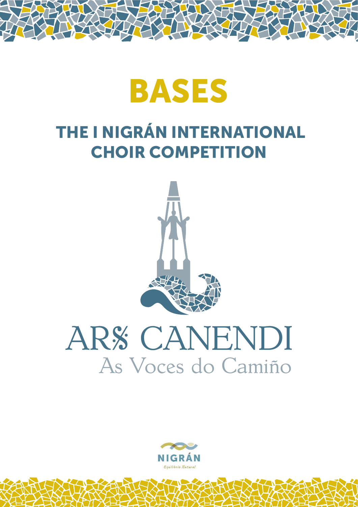

## THE I NIGRÁN INTERNATIONAL CHOIR COMPETITION



# ARS CANENDI As Voces do Camiño

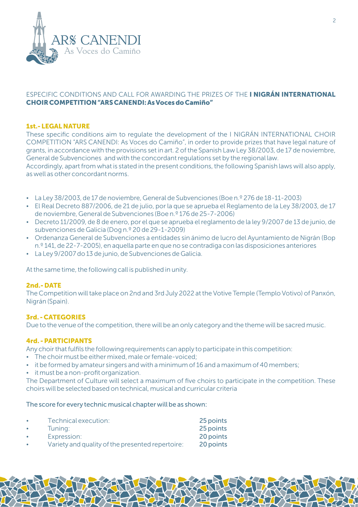

#### ESPECIFIC CONDITIONS AND CALL FOR AWARDING THE PRIZES OF THE I NIGRÁN INTERNATIONAL CHOIR COMPETITION "ARS CANENDI: As Voces do Camiño"

#### 1st.- LEGAL NATURE

These specific conditions aim to regulate the development of the I NIGRÁN INTERNATIONAL CHOIR COMPETITION "ARS CANENDI: As Voces do Camiño", in order to provide prizes that have legal nature of grants, in accordance with the provisions set in art. 2 of the Spanish Law Ley 38/2003, de 17 de noviembre, General de Subvenciones and with the concordant regulations set by the regional law. Accordingly, apart from what is stated in the present conditions, the following Spanish laws will also apply,

as well as other concordant norms.

- $\bullet$  La Ley 38/2003, de 17 de noviembre, General de Subvenciones (Boe n.º 276 de 18-11-2003)
- El Real Decreto 887/2006, de 21 de julio, por la que se aprueba el Reglamento de la Ley 38/2003, de 17 de noviembre, General de Subvenciones (Boe n.º 176 de 25-7-2006)
- Decreto 11/2009, de 8 de enero, por el que se aprueba el reglamento de la ley 9/2007 de 13 de junio, de subvenciones de Galicia (Dog n.º 20 de 29-1-2009)
- $\bullet$  Ordenanza General de Subvenciones a entidades sin ánimo de lucro del Ayuntamiento de Nigrán (Bop n.º 141, de 22-7-2005), en aquella parte en que no se contradiga con las disposiciones anteriores
- $\cdot$  La Ley 9/2007 do 13 de junio, de Subvenciones de Galicia.

At the same time, the following call is published in unity.

#### 2nd.- DATE

The Competition will take place on 2nd and 3rd July 2022 at the Votive Temple (Templo Votivo) of Panxón, Nigrán (Spain).

#### 3rd. - CATEGORIES

Due to the venue of the competition, there will be an only category and the theme will be sacred music.

#### 4rd. - PARTICIPANTS

Any choir that fulfils the following requirements can apply to participate in this competition:

- The choir must be either mixed, male or female-voiced;
- $\bullet$  it be formed by amateur singers and with a minimum of 16 and a maximum of 40 members;
- $\cdot$  it must be a non-profit organization.

The Department of Culture will select a maximum of five choirs to participate in the competition. These choirs will be selected based on technical, musical and curricular criteria

The score for every technic musical chapter will be as shown:

|           | Technical execution:                             | 25 points |
|-----------|--------------------------------------------------|-----------|
| $\bullet$ | Tuning:                                          | 25 points |
|           | Expression:                                      | 20 points |
|           | Variety and quality of the presented repertoire: | 20 points |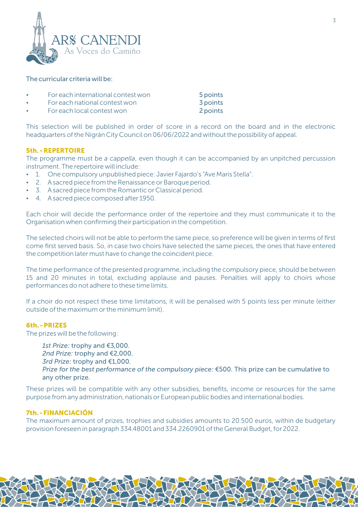

#### The curricular criteria will be:

- For each international contest won 5 points
- For each national contest won 3 points
- For each local contest won 2 points

This selection will be published in order of score in a record on the board and in the electronic headquarters of the Nigrán City Council on 06/06/2022 and without the possibility of appeal.

#### 5th. - REPERTOIRE

The programme must be *a cappella*, even though it can be accompanied by an unpitched percussion instrument. The repertoire will include:

- 1. One compulsory unpublished piece: Javier Fajardo's "Ave Maris Stella".
- 2. A sacred piece from the Renaissance or Baroque period.
- 3. A sacred piece from the Romantic or Classical period.
- 4. A sacred piece composed after 1950.

Each choir will decide the performance order of the repertoire and they must communicate it to the Organisation when confirming their participation in the competition.

The selected choirs will not be able to perform the same piece, so preference will be given in terms of first come first served basis. So, in case two choirs have selected the same pieces, the ones that have entered the competition later must have to change the coincident piece.

The time performance of the presented programme, including the compulsory piece, should be between 15 and 20 minutes in total, excluding applause and pauses. Penalties will apply to choirs whose performances do not adhere to these time limits.

If a choir do not respect these time limitations, it will be penalised with 5 points less per minute (either outside of the maximum or the minimum limit).

#### 6th. - PRIZES

The prizes will be the following:

*1st Prize:* trophy and €3,000. *2nd Prize:* trophy and €2,000. *3rd Prize:* trophy and €1,000. *Prize for the best performance of the compulsory piece:* €500. This prize can be cumulative to any other prize.

These prizes will be compatible with any other subsidies, benefits, income or resources for the same purpose from any administration, nationals or European public bodies and international bodies.

#### 7th. - FINANCIACIÓN

The maximum amount of prizes, trophies and subsidies amounts to 20.500 euros, within de budgetary provision foreseen in paragraph 334.48001 and 334.2260901 of the General Budget, for 2022.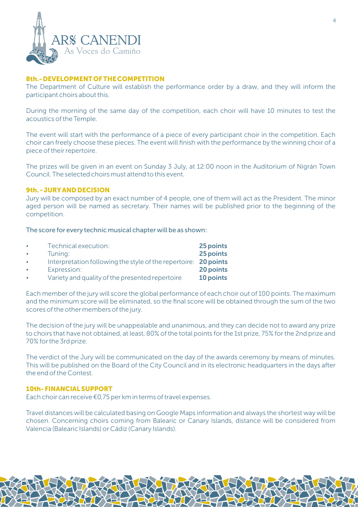

#### 8th.- DEVELOPMENT OF THE COMPETITION

The Department of Culture will establish the performance order by a draw, and they will inform the participant choirs about this.

During the morning of the same day of the competition, each choir will have 10 minutes to test the acoustics of the Temple.

The event will start with the performance of a piece of every participant choir in the competition. Each choir can freely choose these pieces. The event will finish with the performance by the winning choir of a piece of their repertoire.

The prizes will be given in an event on Sunday 3 July, at 12:00 noon in the Auditorium of Nigrán Town Council. The selected choirs must attend to this event.

#### 9th. - JURY AND DECISION

Jury will be composed by an exact number of 4 people, one of them will act as the President. The minor aged person will be named as secretary. Their names will be published prior to the beginning of the competition.

The score for every technic musical chapter will be as shown:

| $\bullet$ | Technical execution:                                            | 25 points |
|-----------|-----------------------------------------------------------------|-----------|
| $\bullet$ | Tuning:                                                         | 25 points |
| $\bullet$ | Interpretation following the style of the repertoire: 20 points |           |
| $\bullet$ | Expression:                                                     | 20 points |
| $\bullet$ | Variety and quality of the presented repertoire                 | 10 points |

Each member of the jury will score the global performance of each choir out of 100 points. The maximum and the minimum score will be eliminated, so the final score will be obtained through the sum of the two scores of the other members of the jury.

The decision of the jury will be unappealable and unanimous, and they can decide not to award any prize to choirs that have not obtained, at least, 80% of the total points for the 1st prize, 75% for the 2nd prize and 70% for the 3rd prize.

The verdict of the Jury will be communicated on the day of the awards ceremony by means of minutes. This will be published on the Board of the City Council and in its electronic headquarters in the days after the end of the Contest.

#### 10th- FINANCIAL SUPPORT

Each choir can receive €0,75 per km in terms of travel expenses.

Travel distances will be calculated basing on Google Maps information and always the shortest way will be chosen. Concerning choirs coming from Balearic or Canary Islands, distance will be considered from Valencia (Balearic Islands) or Cádiz (Canary Islands).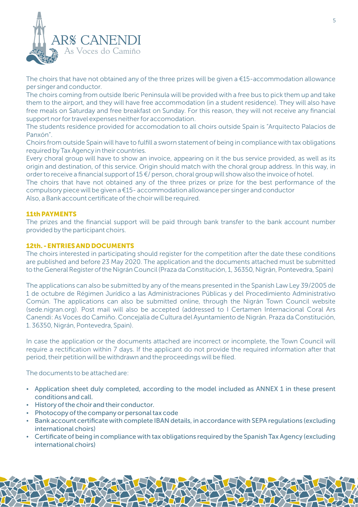

The choirs that have not obtained any of the three prizes will be given a  $\epsilon$ 15-accommodation allowance per singer and conductor.

The choirs coming from outside Iberic Peninsula will be provided with a free bus to pick them up and take them to the airport, and they will have free accommodation (in a student residence). They will also have free meals on Saturday and free breakfast on Sunday. For this reason, they will not receive any financial support nor for travel expenses neither for accomodation.

The students residence provided for accomodation to all choirs outside Spain is "Arquitecto Palacios de Panxón".

Choirs from outside Spain will have to fulfill a sworn statement of being in compliance with tax obligations required by Tax Agency in their countries.

Every choral group will have to show an invoice, appearing on it the bus service provided, as well as its origin and destination, of this service. Origin should match with the choral group address. In this way, in order to receive a financial support of 15 €/ person, choral group will show also the invoice of hotel.

Also, a Bank account certificate of the choir will be required. The choirs that have not obtained any of the three prizes or prize for the best performance of the compulsory piece will be given a €15- accommodation allowance per singer and conductor

#### 11th PAYMENTS

The prizes and the financial support will be paid through bank transfer to the bank account number provided by the participant choirs.

#### 12th. - ENTRIES AND DOCUMENTS

The choirs interested in participating should register for the competition after the date these conditions are published and before 23 May 2020. The application and the documents attached must be submitted to the General Register of the Nigrán Council (Praza da Constitución, 1, 36350, Nigrán, Pontevedra, Spain)

The applications can also be submitted by any of the means presented in the Spanish Law Ley 39/2005 de 1 de octubre de Régimen Jurídico a las Administraciones Públicas y del Procedimiento Administrativo Común. The applications can also be submitted online, through the Nigrán Town Council website (sede.nigran.org). Post mail will also be accepted (addressed to I Certamen Internacional Coral Ars Canendi: As Voces do Camiño. Concejalía de Cultura del Ayuntamiento de Nigrán. Praza da Constitución, 1. 36350, Nigrán, Pontevedra, Spain).

In case the application or the documents attached are incorrect or incomplete, the Town Council will require a rectification within 7 days. If the applicant do not provide the required information after that period, their petition will be withdrawn and the proceedings will be filed.

The documents to be attached are:

- Application sheet duly completed, according to the model included as ANNEX 1 in these present conditions and call.
- History of the choir and their conductor.
- Photocopy of the company or personal tax code
- Bank account certificate with complete IBAN details, in accordance with SEPA regulations (excluding international choirs)
- Certificate of being in compliance with tax obligations required by the Spanish Tax Agency (excluding international choirs)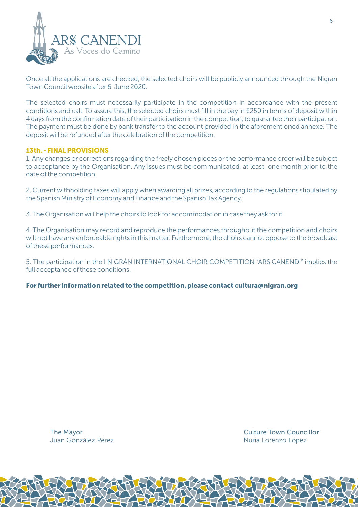

Once all the applications are checked, the selected choirs will be publicly announced through the Nigrán Town Council website after 6 June 2020.

The selected choirs must necessarily participate in the competition in accordance with the present conditions and call. To assure this, the selected choirs must fill in the pay in €250 in terms of deposit within 4 days from the confirmation date of their participation in the competition, to guarantee their participation. The payment must be done by bank transfer to the account provided in the aforementioned annexe. The deposit will be refunded after the celebration of the competition.

#### 13th. - FINAL PROVISIONS

1. Any changes or corrections regarding the freely chosen pieces or the performance order will be subject to acceptance by the Organisation. Any issues must be communicated, at least, one month prior to the date of the competition.

2. Current withholding taxes will apply when awarding all prizes, according to the regulations stipulated by the Spanish Ministry of Economy and Finance and the Spanish Tax Agency.

3. The Organisation will help the choirs to look for accommodation in case they ask for it.

4. The Organisation may record and reproduce the performances throughout the competition and choirs will not have any enforceable rights in this matter. Furthermore, the choirs cannot oppose to the broadcast of these performances.

5. The participation in the I NIGRÁN INTERNATIONAL CHOIR COMPETITION "ARS CANENDI" implies the full acceptance of these conditions.

For further information related to the competition, please contact cultura@nigran.org

The Mayor Juan González Pérez Culture Town Councillor Nuria Lorenzo López